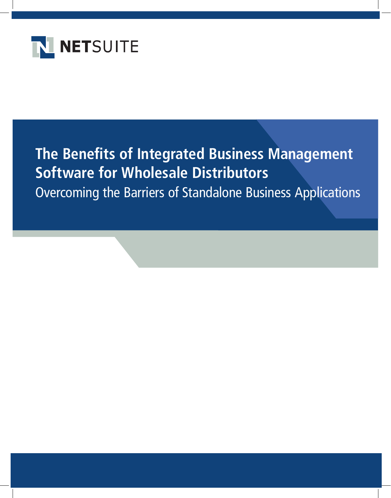

# **The Benefits of Integrated Business Management Software for Wholesale Distributors** Overcoming the Barriers of Standalone Business Applications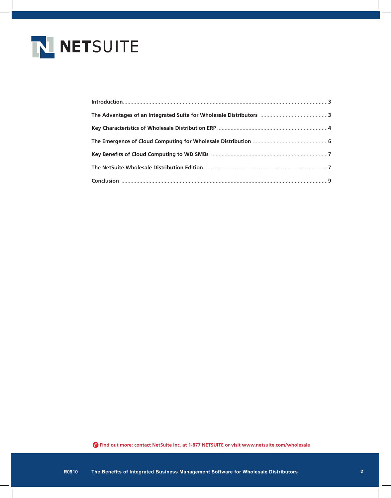

| The Advantages of an Integrated Suite for Wholesale Distributors …………………………………………………………………………………………… |
|------------------------------------------------------------------------------------------------------|
|                                                                                                      |
|                                                                                                      |
|                                                                                                      |
|                                                                                                      |
|                                                                                                      |
|                                                                                                      |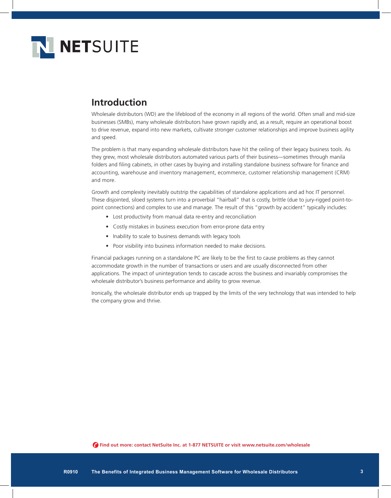

## **Introduction**

Wholesale distributors (WD) are the lifeblood of the economy in all regions of the world. Often small and mid-size businesses (SMBs), many wholesale distributors have grown rapidly and, as a result, require an operational boost to drive revenue, expand into new markets, cultivate stronger customer relationships and improve business agility and speed.

The problem is that many expanding wholesale distributors have hit the ceiling of their legacy business tools. As they grew, most wholesale distributors automated various parts of their business—sometimes through manila folders and filing cabinets, in other cases by buying and installing standalone business software for finance and accounting, warehouse and inventory management, ecommerce, customer relationship management (CRM) and more.

Growth and complexity inevitably outstrip the capabilities of standalone applications and ad hoc IT personnel. These disjointed, siloed systems turn into a proverbial "hairball" that is costly, brittle (due to jury-rigged point-topoint connections) and complex to use and manage. The result of this "growth by accident" typically includes:

- Lost productivity from manual data re-entry and reconciliation
- Costly mistakes in business execution from error-prone data entry
- Inability to scale to business demands with legacy tools
- Poor visibility into business information needed to make decisions.

Financial packages running on a standalone PC are likely to be the first to cause problems as they cannot accommodate growth in the number of transactions or users and are usually disconnected from other applications. The impact of unintegration tends to cascade across the business and invariably compromises the wholesale distributor's business performance and ability to grow revenue.

Ironically, the wholesale distributor ends up trapped by the limits of the very technology that was intended to help the company grow and thrive.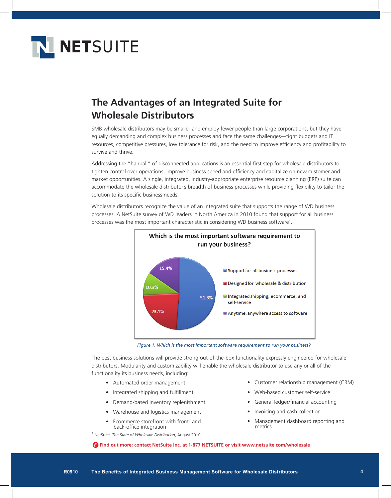

# **The Advantages of an Integrated Suite for Wholesale Distributors**

SMB wholesale distributors may be smaller and employ fewer people than large corporations, but they have equally demanding and complex business processes and face the same challenges—tight budgets and IT resources, competitive pressures, low tolerance for risk, and the need to improve efficiency and profitability to survive and thrive.

Addressing the "hairball" of disconnected applications is an essential first step for wholesale distributors to tighten control over operations, improve business speed and efficiency and capitalize on new customer and market opportunities. A single, integrated, industry-appropriate enterprise resource planning (ERP) suite can accommodate the wholesale distributor's breadth of business processes while providing flexibility to tailor the solution to its specific business needs.

Wholesale distributors recognize the value of an integrated suite that supports the range of WD business processes. A NetSuite survey of WD leaders in North America in 2010 found that support for all business processes was the most important characteristic in considering WD business software<sup>1</sup>.



*Figure 1. Which is the most important software requirement to run your business?*

The best business solutions will provide strong out-of-the-box functionality expressly engineered for wholesale distributors. Modularity and customizability will enable the wholesale distributor to use any or all of the functionality its business needs, including:

- • Automated order management
- Integrated shipping and fulfillment.
- • Demand-based inventory replenishment
- Warehouse and logistics management
- Ecommerce storefront with front- and back-office integration

1 NetSuite, *The State of Wholesale Distribution*, August 2010.

- • Customer relationship management (CRM)
- • Web-based customer self-service
- General ledger/financial accounting
- Invoicing and cash collection
- Management dashboard reporting and metrics.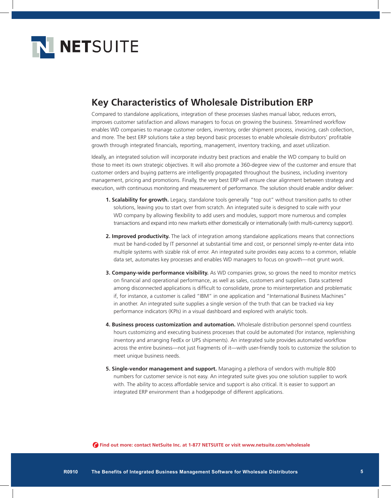

### **Key Characteristics of Wholesale Distribution ERP**

Compared to standalone applications, integration of these processes slashes manual labor, reduces errors, improves customer satisfaction and allows managers to focus on growing the business. Streamlined workflow enables WD companies to manage customer orders, inventory, order shipment process, invoicing, cash collection, and more. The best ERP solutions take a step beyond basic processes to enable wholesale distributors' profitable growth through integrated financials, reporting, management, inventory tracking, and asset utilization.

Ideally, an integrated solution will incorporate industry best practices and enable the WD company to build on those to meet its own strategic objectives. It will also promote a 360-degree view of the customer and ensure that customer orders and buying patterns are intelligently propagated throughout the business, including inventory management, pricing and promotions. Finally, the very best ERP will ensure clear alignment between strategy and execution, with continuous monitoring and measurement of performance. The solution should enable and/or deliver:

- **1. Scalability for growth.** Legacy, standalone tools generally "top out" without transition paths to other solutions, leaving you to start over from scratch. An integrated suite is designed to scale with your WD company by allowing flexibility to add users and modules, support more numerous and complex transactions and expand into new markets either domestically or internationally (with multi-currency support).
- **2. Improved productivity.** The lack of integration among standalone applications means that connections must be hand-coded by IT personnel at substantial time and cost, or personnel simply re-enter data into multiple systems with sizable risk of error. An integrated suite provides easy access to a common, reliable data set, automates key processes and enables WD managers to focus on growth—not grunt work.
- **3. Company-wide performance visibility.** As WD companies grow, so grows the need to monitor metrics on financial and operational performance, as well as sales, customers and suppliers. Data scattered among disconnected applications is difficult to consolidate, prone to misinterpretation and problematic if, for instance, a customer is called "IBM" in one application and "International Business Machines" in another. An integrated suite supplies a single version of the truth that can be tracked via key performance indicators (KPIs) in a visual dashboard and explored with analytic tools.
- **4. Business process customization and automation.** Wholesale distribution personnel spend countless hours customizing and executing business processes that could be automated (for instance, replenishing inventory and arranging FedEx or UPS shipments). An integrated suite provides automated workflow across the entire business—not just fragments of it—with user-friendly tools to customize the solution to meet unique business needs.
- **5. Single-vendor management and support.** Managing a plethora of vendors with multiple 800 numbers for customer service is not easy. An integrated suite gives you one solution supplier to work with. The ability to access affordable service and support is also critical. It is easier to support an integrated ERP environment than a hodgepodge of different applications.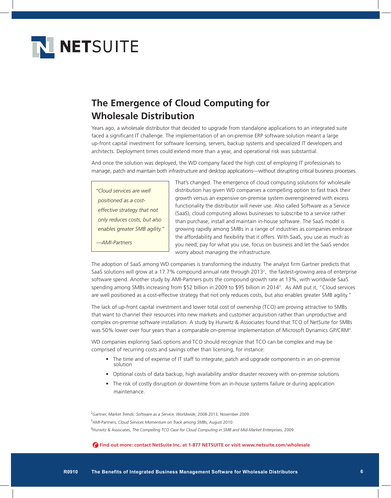

# **The Emergence of Cloud Computing for Wholesale Distribution**

Years ago, a wholesale distributor that decided to upgrade from standalone applications to an integrated suite faced a significant IT challenge. The implementation of an on-premise ERP software solution meant a large up-front capital investment for software licensing, servers, backup systems and specialized IT developers and architects. Deployment times could extend more than a year, and operational risk was substantial.

And once the solution was deployed, the WD company faced the high cost of employing IT professionals to manage, patch and maintain both infrastructure and desktop applications—without disrupting critical business processes.

*"Cloud services are well positioned as a costeffective strategy that not only reduces costs, but also enables greater SMB agility."*

*—AMI-Partners*

That's changed. The emergence of cloud computing solutions for wholesale distribution has given WD companies a compelling option to fast track their growth versus an expensive on-premise system overengineered with excess functionality the distributor will never use. Also called Software as a Service (SaaS), cloud computing allows businesses to subscribe to a service rather than purchase, install and maintain in-house software. The SaaS model is growing rapidly among SMBs in a range of industries as companies embrace the affordability and flexibility that it offers. With SaaS, you use as much as you need, pay for what you use, focus on business and let the SaaS vendor worry about managing the infrastructure.

The adoption of SaaS among WD companies is transforming the industry. The analyst firm Gartner predicts that SaaS solutions will grow at a 17.7% compound annual rate through 2013<sup>2</sup>, the fastest-growing area of enterprise software spend. Another study by AMI-Partners puts the compound growth rate at 13%, with worldwide SaaS spending among SMBs increasing from \$52 billion in 2009 to \$95 billion in 20143 . As AMI put it, "Cloud services are well positioned as a cost-effective strategy that not only reduces costs, but also enables greater SMB agility."

The lack of up-front capital investment and lower total cost of ownership (TCO) are proving attractive to SMBs that want to channel their resources into new markets and customer acquisition rather than unproductive and complex on-premise software installation. A study by Hurwitz & Associates found that TCO of NetSuite for SMBs was 50% lower over four years than a comparable on-premise implementation of Microsoft Dynamics GP/CRM<sup>4</sup>.

WD companies exploring SaaS options and TCO should recognize that TCO can be complex and may be comprised of recurring costs and savings other than licensing, for instance:

- The time and of expense of IT staff to integrate, patch and upgrade components in an on-premise solution
- • Optional costs of data backup, high availability and/or disaster recovery with on-premise solutions
- The risk of costly disruption or downtime from an in-house systems failure or during application maintenance.

2 Gartner, *Market Trends: Software as a Service, Worldwide*, 2008-2013, November 2009. 3 AMI-Partners, *Cloud Services Momentum on Track among SMBs*, August 2010. 4 Hurwitz & Associates, *The Compelling TCO Case for Cloud Computing in SMB and Mid-Market Enterprises*, 2009.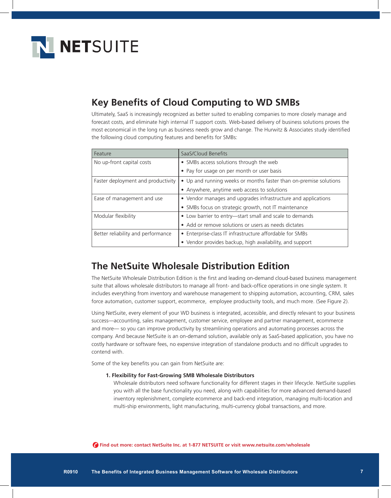

## **Key Benefits of Cloud Computing to WD SMBs**

Ultimately, SaaS is increasingly recognized as better suited to enabling companies to more closely manage and forecast costs, and eliminate high internal IT support costs. Web-based delivery of business solutions proves the most economical in the long run as business needs grow and change. The Hurwitz & Associates study identified the following cloud computing features and benefits for SMBs:

| Feature                            | SaaS/Cloud Benefits                                               |
|------------------------------------|-------------------------------------------------------------------|
| No up-front capital costs          | • SMBs access solutions through the web                           |
|                                    | • Pay for usage on per month or user basis                        |
| Faster deployment and productivity | • Up and running weeks or months faster than on-premise solutions |
|                                    | • Anywhere, anytime web access to solutions                       |
| Ease of management and use         | • Vendor manages and upgrades infrastructure and applications     |
|                                    | • SMBs focus on strategic growth, not IT maintenance              |
| Modular flexibility                | • Low barrier to entry-start small and scale to demands           |
|                                    | • Add or remove solutions or users as needs dictates              |
| Better reliability and performance | • Enterprise-class IT infrastructure affordable for SMBs          |
|                                    | • Vendor provides backup, high availability, and support          |

### **The NetSuite Wholesale Distribution Edition**

The NetSuite Wholesale Distribution Edition is the first and leading on-demand cloud-based business management suite that allows wholesale distributors to manage all front- and back-office operations in one single system. It includes everything from inventory and warehouse management to shipping automation, accounting, CRM, sales force automation, customer support, ecommerce, employee productivity tools, and much more. (See Figure 2).

Using NetSuite, every element of your WD business is integrated, accessible, and directly relevant to your business success—accounting, sales management, customer service, employee and partner management, ecommerce and more— so you can improve productivity by streamlining operations and automating processes across the company. And because NetSuite is an on-demand solution, available only as SaaS-based application, you have no costly hardware or software fees, no expensive integration of standalone products and no difficult upgrades to contend with.

Some of the key benefits you can gain from NetSuite are:

#### **1. Flexibility for Fast-Growing SMB Wholesale Distributors**

Wholesale distributors need software functionality for different stages in their lifecycle. NetSuite supplies you with all the base functionality you need, along with capabilities for more advanced demand-based inventory replenishment, complete ecommerce and back-end integration, managing multi-location and multi-ship environments, light manufacturing, multi-currency global transactions, and more.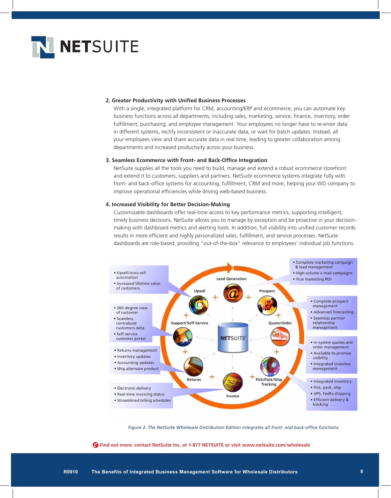

#### **2. Greater Productivity with Unified Business Processes**

With a single, integrated platform for CRM, accounting/ERP and ecommerce, you can automate key business functions across all departments, including sales, marketing, service, finance, inventory, order fulfillment, purchasing, and employee management. Your employees no longer have to re-enter data in different systems, rectify inconsistent or inaccurate data, or wait for batch updates. Instead, all your employees view and share accurate data in real time, leading to greater collaboration among departments and increased productivity across your business.

#### **3. Seamless Ecommerce with Front- and Back-Office Integration**

NetSuite supplies all the tools you need to build, manage and extend a robust ecommerce storefront and extend it to customers, suppliers and partners. NetSuite ecommerce systems integrate fully with front- and back-office systems for accounting, fulfillment, CRM and more, helping your WD company to improve operational efficiencies while driving web-based business.

#### **4. Increased Visibility for Better Decision-Making**

Customizable dashboards offer real-time access to key performance metrics, supporting intelligent, timely business decisions. NetSuite allows you to manage by exception and be proactive in your decisionmaking with dashboard metrics and alerting tools. In addition, full visibility into unified customer records results in more efficient and highly personalized sales, fulfillment, and service processes. NetSuite dashboards are role-based, providing "out-of-the-box" relevance to employees' individual job functions.



*Figure 2. The NetSuite Wholesale Distribution Edition integrates all front- and back-office functions.*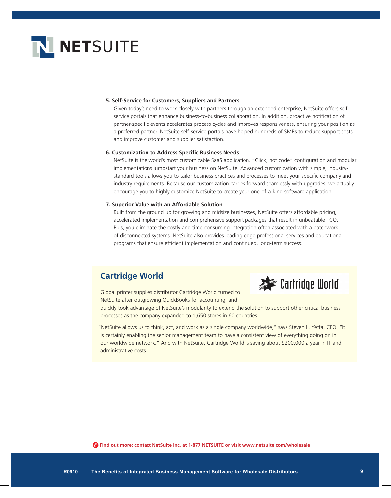

#### **5. Self-Service for Customers, Suppliers and Partners**

Given today's need to work closely with partners through an extended enterprise, NetSuite offers selfservice portals that enhance business-to-business collaboration. In addition, proactive notification of partner-specific events accelerates process cycles and improves responsiveness, ensuring your position as a preferred partner. NetSuite self-service portals have helped hundreds of SMBs to reduce support costs and improve customer and supplier satisfaction.

#### **6. Customization to Address Specific Business Needs**

NetSuite is the world's most customizable SaaS application. "Click, not code" configuration and modular implementations jumpstart your business on NetSuite. Advanced customization with simple, industrystandard tools allows you to tailor business practices and processes to meet your specific company and industry requirements. Because our customization carries forward seamlessly with upgrades, we actually encourage you to highly customize NetSuite to create your one-of-a-kind software application.

#### **7. Superior Value with an Affordable Solution**

Built from the ground up for growing and midsize businesses, NetSuite offers affordable pricing, accelerated implementation and comprehensive support packages that result in unbeatable TCO. Plus, you eliminate the costly and time-consuming integration often associated with a patchwork of disconnected systems. NetSuite also provides leading-edge professional services and educational programs that ensure efficient implementation and continued, long-term success.

### **Cartridge World**



Global printer supplies distributor Cartridge World turned to NetSuite after outgrowing QuickBooks for accounting, and

quickly took advantage of NetSuite's modularity to extend the solution to support other critical business processes as the company expanded to 1,650 stores in 60 countries.

"NetSuite allows us to think, act, and work as a single company worldwide," says Steven L. Yeffa, CFO. "It is certainly enabling the senior management team to have a consistent view of everything going on in our worldwide network." And with NetSuite, Cartridge World is saving about \$200,000 a year in IT and administrative costs.